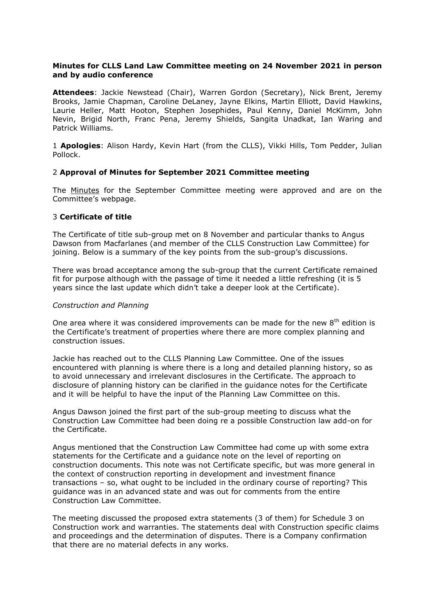## **Minutes for CLLS Land Law Committee meeting on 24 November 2021 in person and by audio conference**

**Attendees**: Jackie Newstead (Chair), Warren Gordon (Secretary), Nick Brent, Jeremy Brooks, Jamie Chapman, Caroline DeLaney, Jayne Elkins, Martin Elliott, David Hawkins, Laurie Heller, Matt Hooton, Stephen Josephides, Paul Kenny, Daniel McKimm, John Nevin, Brigid North, Franc Pena, Jeremy Shields, Sangita Unadkat, Ian Waring and Patrick Williams.

1 **Apologies**: Alison Hardy, Kevin Hart (from the CLLS), Vikki Hills, Tom Pedder, Julian Pollock.

## 2 **Approval of Minutes for September 2021 Committee meeting**

The [Minutes](https://www.citysolicitors.org.uk/storage/2021/10/Land-Law-Committee-Minutes-September-2021.pdf) for the September Committee meeting were approved and are on the Committee's webpage.

#### 3 **Certificate of title**

The Certificate of title sub-group met on 8 November and particular thanks to Angus Dawson from Macfarlanes (and member of the CLLS Construction Law Committee) for joining. Below is a summary of the key points from the sub-group's discussions.

There was broad acceptance among the sub-group that the current Certificate remained fit for purpose although with the passage of time it needed a little refreshing (it is 5 years since the last update which didn't take a deeper look at the Certificate).

#### *Construction and Planning*

One area where it was considered improvements can be made for the new  $8<sup>th</sup>$  edition is the Certificate's treatment of properties where there are more complex planning and construction issues.

Jackie has reached out to the CLLS Planning Law Committee. One of the issues encountered with planning is where there is a long and detailed planning history, so as to avoid unnecessary and irrelevant disclosures in the Certificate. The approach to disclosure of planning history can be clarified in the guidance notes for the Certificate and it will be helpful to have the input of the Planning Law Committee on this.

Angus Dawson joined the first part of the sub-group meeting to discuss what the Construction Law Committee had been doing re a possible Construction law add-on for the Certificate.

Angus mentioned that the Construction Law Committee had come up with some extra statements for the Certificate and a guidance note on the level of reporting on construction documents. This note was not Certificate specific, but was more general in the context of construction reporting in development and investment finance transactions – so, what ought to be included in the ordinary course of reporting? This guidance was in an advanced state and was out for comments from the entire Construction Law Committee.

The meeting discussed the proposed extra statements (3 of them) for Schedule 3 on Construction work and warranties. The statements deal with Construction specific claims and proceedings and the determination of disputes. There is a Company confirmation that there are no material defects in any works.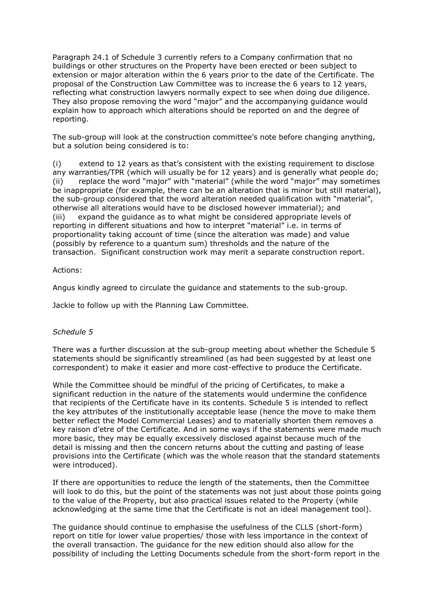Paragraph 24.1 of Schedule 3 currently refers to a Company confirmation that no buildings or other structures on the Property have been erected or been subject to extension or major alteration within the 6 years prior to the date of the Certificate. The proposal of the Construction Law Committee was to increase the 6 years to 12 years, reflecting what construction lawyers normally expect to see when doing due diligence. They also propose removing the word "major" and the accompanying guidance would explain how to approach which alterations should be reported on and the degree of reporting.

The sub-group will look at the construction committee's note before changing anything, but a solution being considered is to:

(i) extend to 12 years as that's consistent with the existing requirement to disclose any warranties/TPR (which will usually be for 12 years) and is generally what people do; (ii) replace the word "major" with "material" (while the word "major" may sometimes be inappropriate (for example, there can be an alteration that is minor but still material), the sub-group considered that the word alteration needed qualification with "material", otherwise all alterations would have to be disclosed however immaterial); and (iii) expand the guidance as to what might be considered appropriate levels of reporting in different situations and how to interpret "material" i.e. in terms of proportionality taking account of time (since the alteration was made) and value (possibly by reference to a quantum sum) thresholds and the nature of the transaction. Significant construction work may merit a separate construction report.

## Actions:

Angus kindly agreed to circulate the guidance and statements to the sub-group.

Jackie to follow up with the Planning Law Committee.

## *Schedule 5*

There was a further discussion at the sub-group meeting about whether the Schedule 5 statements should be significantly streamlined (as had been suggested by at least one correspondent) to make it easier and more cost-effective to produce the Certificate.

While the Committee should be mindful of the pricing of Certificates, to make a significant reduction in the nature of the statements would undermine the confidence that recipients of the Certificate have in its contents. Schedule 5 is intended to reflect the key attributes of the institutionally acceptable lease (hence the move to make them better reflect the Model Commercial Leases) and to materially shorten them removes a key raison d'etre of the Certificate. And in some ways if the statements were made much more basic, they may be equally excessively disclosed against because much of the detail is missing and then the concern returns about the cutting and pasting of lease provisions into the Certificate (which was the whole reason that the standard statements were introduced).

If there are opportunities to reduce the length of the statements, then the Committee will look to do this, but the point of the statements was not just about those points going to the value of the Property, but also practical issues related to the Property (while acknowledging at the same time that the Certificate is not an ideal management tool).

The guidance should continue to emphasise the usefulness of the CLLS (short-form) report on title for lower value properties/ those with less importance in the context of the overall transaction. The guidance for the new edition should also allow for the possibility of including the Letting Documents schedule from the short-form report in the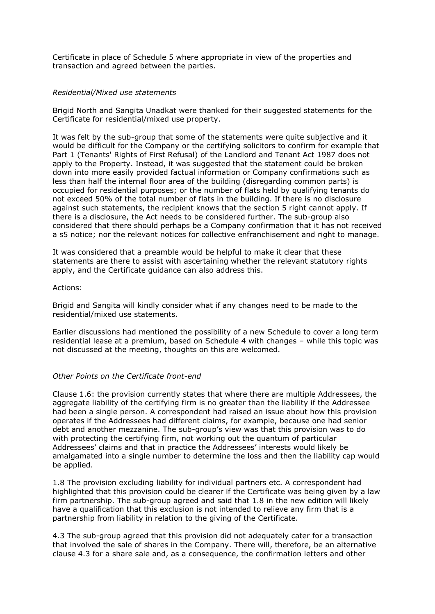Certificate in place of Schedule 5 where appropriate in view of the properties and transaction and agreed between the parties.

#### *Residential/Mixed use statements*

Brigid North and Sangita Unadkat were thanked for their suggested statements for the Certificate for residential/mixed use property.

It was felt by the sub-group that some of the statements were quite subjective and it would be difficult for the Company or the certifying solicitors to confirm for example that Part 1 (Tenants' Rights of First Refusal) of the Landlord and Tenant Act 1987 does not apply to the Property. Instead, it was suggested that the statement could be broken down into more easily provided factual information or Company confirmations such as less than half the internal floor area of the building (disregarding common parts) is occupied for residential purposes; or the number of flats held by qualifying tenants do not exceed 50% of the total number of flats in the building. If there is no disclosure against such statements, the recipient knows that the section 5 right cannot apply. If there is a disclosure, the Act needs to be considered further. The sub-group also considered that there should perhaps be a Company confirmation that it has not received a s5 notice; nor the relevant notices for collective enfranchisement and right to manage.

It was considered that a preamble would be helpful to make it clear that these statements are there to assist with ascertaining whether the relevant statutory rights apply, and the Certificate guidance can also address this.

#### Actions:

Brigid and Sangita will kindly consider what if any changes need to be made to the residential/mixed use statements.

Earlier discussions had mentioned the possibility of a new Schedule to cover a long term residential lease at a premium, based on Schedule 4 with changes – while this topic was not discussed at the meeting, thoughts on this are welcomed.

## *Other Points on the Certificate front-end*

Clause 1.6: the provision currently states that where there are multiple Addressees, the aggregate liability of the certifying firm is no greater than the liability if the Addressee had been a single person. A correspondent had raised an issue about how this provision operates if the Addressees had different claims, for example, because one had senior debt and another mezzanine. The sub-group's view was that this provision was to do with protecting the certifying firm, not working out the quantum of particular Addressees' claims and that in practice the Addressees' interests would likely be amalgamated into a single number to determine the loss and then the liability cap would be applied.

1.8 The provision excluding liability for individual partners etc. A correspondent had highlighted that this provision could be clearer if the Certificate was being given by a law firm partnership. The sub-group agreed and said that 1.8 in the new edition will likely have a qualification that this exclusion is not intended to relieve any firm that is a partnership from liability in relation to the giving of the Certificate.

4.3 The sub-group agreed that this provision did not adequately cater for a transaction that involved the sale of shares in the Company. There will, therefore, be an alternative clause 4.3 for a share sale and, as a consequence, the confirmation letters and other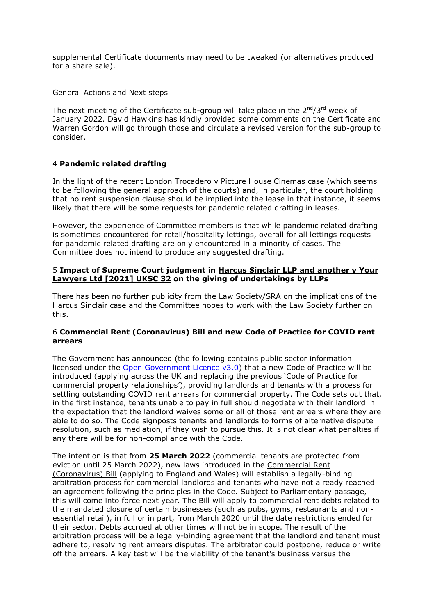supplemental Certificate documents may need to be tweaked (or alternatives produced for a share sale).

General Actions and Next steps

The next meeting of the Certificate sub-group will take place in the  $2^{nd}/3^{rd}$  week of January 2022. David Hawkins has kindly provided some comments on the Certificate and Warren Gordon will go through those and circulate a revised version for the sub-group to consider.

# 4 **Pandemic related drafting**

In the light of the recent London Trocadero v Picture House Cinemas case (which seems to be following the general approach of the courts) and, in particular, the court holding that no rent suspension clause should be implied into the lease in that instance, it seems likely that there will be some requests for pandemic related drafting in leases.

However, the experience of Committee members is that while pandemic related drafting is sometimes encountered for retail/hospitality lettings, overall for all lettings requests for pandemic related drafting are only encountered in a minority of cases. The Committee does not intend to produce any suggested drafting.

## 5 **Impact of Supreme Court judgment in [Harcus Sinclair LLP and another v Your](https://eur02.safelinks.protection.outlook.com/?url=https%3A%2F%2Fwww.supremecourt.uk%2Fcases%2Fdocs%2Fuksc-2019-0098-judgment.pdf&data=04%7C01%7Cwarren.gordon%40cms-cmno.com%7Cc2e9f45bee864b11eb5e08d96193ea12%7C8ddab29711af4f76b704c18a1d2b702f%7C0%7C0%7C637648110926601776%7CUnknown%7CTWFpbGZsb3d8eyJWIjoiMC4wLjAwMDAiLCJQIjoiV2luMzIiLCJBTiI6Ik1haWwiLCJXVCI6Mn0%3D%7C1000&sdata=KbHjx%2BBwSlONj7874j0gSk0XNi8RnQXo4auKKgynsvY%3D&reserved=0)  [Lawyers Ltd \[2021\] UKSC 32](https://eur02.safelinks.protection.outlook.com/?url=https%3A%2F%2Fwww.supremecourt.uk%2Fcases%2Fdocs%2Fuksc-2019-0098-judgment.pdf&data=04%7C01%7Cwarren.gordon%40cms-cmno.com%7Cc2e9f45bee864b11eb5e08d96193ea12%7C8ddab29711af4f76b704c18a1d2b702f%7C0%7C0%7C637648110926601776%7CUnknown%7CTWFpbGZsb3d8eyJWIjoiMC4wLjAwMDAiLCJQIjoiV2luMzIiLCJBTiI6Ik1haWwiLCJXVCI6Mn0%3D%7C1000&sdata=KbHjx%2BBwSlONj7874j0gSk0XNi8RnQXo4auKKgynsvY%3D&reserved=0) on the giving of undertakings by LLPs**

There has been no further publicity from the Law Society/SRA on the implications of the Harcus Sinclair case and the Committee hopes to work with the Law Society further on this.

## 6 **Commercial Rent (Coronavirus) Bill and new Code of Practice for COVID rent arrears**

The Government has [announced](https://www.gov.uk/government/news/new-laws-and-code-to-resolve-remaining-covid-19-commercial-rent-debts) (the following contains public sector information licensed under the [Open Government Licence v3.0\)](https://www.nationalarchives.gov.uk/doc/open-government-licence/version/3/) that a new [Code of Practice](https://www.gov.uk/government/publications/commercial-rents-code-of-practice-november-2021) will be introduced (applying across the UK and replacing the previous 'Code of Practice for commercial property relationships'), providing landlords and tenants with a process for settling outstanding COVID rent arrears for commercial property. The Code sets out that, in the first instance, tenants unable to pay in full should negotiate with their landlord in the expectation that the landlord waives some or all of those rent arrears where they are able to do so. The Code signposts tenants and landlords to forms of alternative dispute resolution, such as mediation, if they wish to pursue this. It is not clear what penalties if any there will be for non-compliance with the Code.

The intention is that from **25 March 2022** (commercial tenants are protected from eviction until 25 March 2022), new laws introduced in the [Commercial Rent](https://bills.parliament.uk/bills/3064)  [\(Coronavirus\) Bill](https://bills.parliament.uk/bills/3064) (applying to England and Wales) will establish a legally-binding arbitration process for commercial landlords and tenants who have not already reached an agreement following the principles in the Code. Subject to Parliamentary passage, this will come into force next year. The Bill will apply to commercial rent debts related to the mandated closure of certain businesses (such as pubs, gyms, restaurants and nonessential retail), in full or in part, from March 2020 until the date restrictions ended for their sector. Debts accrued at other times will not be in scope. The result of the arbitration process will be a legally-binding agreement that the landlord and tenant must adhere to, resolving rent arrears disputes. The arbitrator could postpone, reduce or write off the arrears. A key test will be the viability of the tenant's business versus the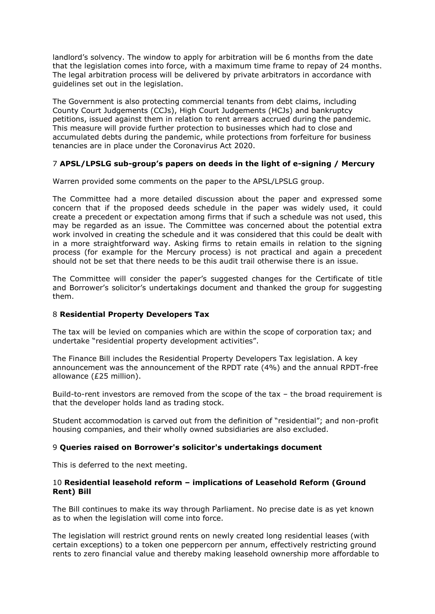landlord's solvency. The window to apply for arbitration will be 6 months from the date that the legislation comes into force, with a maximum time frame to repay of 24 months. The legal arbitration process will be delivered by private arbitrators in accordance with guidelines set out in the legislation.

The Government is also protecting commercial tenants from debt claims, including County Court Judgements (CCJs), High Court Judgements (HCJs) and bankruptcy petitions, issued against them in relation to rent arrears accrued during the pandemic. This measure will provide further protection to businesses which had to close and accumulated debts during the pandemic, while protections from forfeiture for business tenancies are in place under the Coronavirus Act 2020.

## 7 **APSL/LPSLG sub-group's papers on deeds in the light of e-signing / Mercury**

Warren provided some comments on the paper to the APSL/LPSLG group.

The Committee had a more detailed discussion about the paper and expressed some concern that if the proposed deeds schedule in the paper was widely used, it could create a precedent or expectation among firms that if such a schedule was not used, this may be regarded as an issue. The Committee was concerned about the potential extra work involved in creating the schedule and it was considered that this could be dealt with in a more straightforward way. Asking firms to retain emails in relation to the signing process (for example for the Mercury process) is not practical and again a precedent should not be set that there needs to be this audit trail otherwise there is an issue.

The Committee will consider the paper's suggested changes for the Certificate of title and Borrower's solicitor's undertakings document and thanked the group for suggesting them.

## 8 **Residential Property Developers Tax**

The tax will be levied on companies which are within the scope of corporation tax; and undertake "residential property development activities".

The Finance Bill includes the Residential Property Developers Tax legislation. A key announcement was the announcement of the RPDT rate (4%) and the annual RPDT-free allowance (£25 million).

Build-to-rent investors are removed from the scope of the tax – the broad requirement is that the developer holds land as trading stock.

Student accommodation is carved out from the definition of "residential"; and non-profit housing companies, and their wholly owned subsidiaries are also excluded.

## 9 **Queries raised on Borrower's solicitor's undertakings document**

This is deferred to the next meeting.

## 10 **Residential leasehold reform – implications of Leasehold Reform (Ground Rent) Bill**

The Bill continues to make its way through Parliament. No precise date is as yet known as to when the legislation will come into force.

The legislation will restrict ground rents on newly created long residential leases (with certain exceptions) to a token one peppercorn per annum, effectively restricting ground rents to zero financial value and thereby making leasehold ownership more affordable to